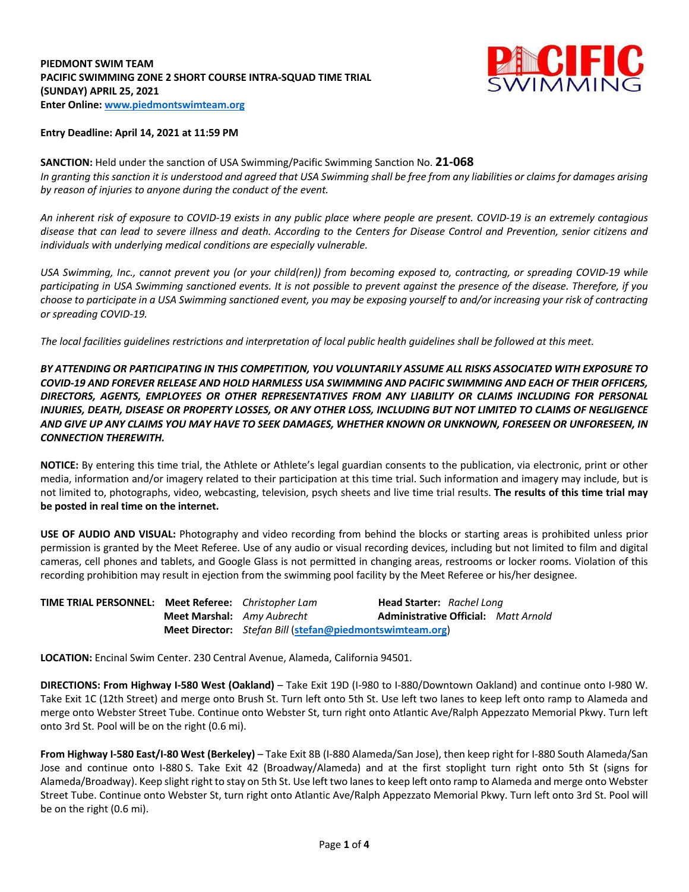### **PIEDMONT SWIM TEAM PACIFIC SWIMMING ZONE 2 SHORT COURSE INTRA-SQUAD TIME TRIAL (SUNDAY) APRIL 25, 2021 Enter Online: www.piedmontswimteam.org**



#### **Entry Deadline: April 14, 2021 at 11:59 PM**

**SANCTION:** Held under the sanction of USA Swimming/Pacific Swimming Sanction No. **21-068** *In granting this sanction it is understood and agreed that USA Swimming shall be free from any liabilities or claims for damages arising by reason of injuries to anyone during the conduct of the event.*

*An inherent risk of exposure to COVID-19 exists in any public place where people are present. COVID-19 is an extremely contagious disease that can lead to severe illness and death. According to the Centers for Disease Control and Prevention, senior citizens and individuals with underlying medical conditions are especially vulnerable.*

*USA Swimming, Inc., cannot prevent you (or your child(ren)) from becoming exposed to, contracting, or spreading COVID-19 while participating in USA Swimming sanctioned events. It is not possible to prevent against the presence of the disease. Therefore, if you choose to participate in a USA Swimming sanctioned event, you may be exposing yourself to and/or increasing your risk of contracting or spreading COVID-19.*

*The local facilities guidelines restrictions and interpretation of local public health guidelines shall be followed at this meet.*

*BY ATTENDING OR PARTICIPATING IN THIS COMPETITION, YOU VOLUNTARILY ASSUME ALL RISKS ASSOCIATED WITH EXPOSURE TO COVID-19 AND FOREVER RELEASE AND HOLD HARMLESS USA SWIMMING AND PACIFIC SWIMMING AND EACH OF THEIR OFFICERS, DIRECTORS, AGENTS, EMPLOYEES OR OTHER REPRESENTATIVES FROM ANY LIABILITY OR CLAIMS INCLUDING FOR PERSONAL INJURIES, DEATH, DISEASE OR PROPERTY LOSSES, OR ANY OTHER LOSS, INCLUDING BUT NOT LIMITED TO CLAIMS OF NEGLIGENCE AND GIVE UP ANY CLAIMS YOU MAY HAVE TO SEEK DAMAGES, WHETHER KNOWN OR UNKNOWN, FORESEEN OR UNFORESEEN, IN CONNECTION THEREWITH.*

**NOTICE:** By entering this time trial, the Athlete or Athlete's legal guardian consents to the publication, via electronic, print or other media, information and/or imagery related to their participation at this time trial. Such information and imagery may include, but is not limited to, photographs, video, webcasting, television, psych sheets and live time trial results. **The results of this time trial may be posted in real time on the internet.**

**USE OF AUDIO AND VISUAL:** Photography and video recording from behind the blocks or starting areas is prohibited unless prior permission is granted by the Meet Referee. Use of any audio or visual recording devices, including but not limited to film and digital cameras, cell phones and tablets, and Google Glass is not permitted in changing areas, restrooms or locker rooms. Violation of this recording prohibition may result in ejection from the swimming pool facility by the Meet Referee or his/her designee.

**TIME TRIAL PERSONNEL: Meet Referee:** *Christopher Lam* **Head Starter:** *Rachel Long* **Meet Marshal:** *Amy Aubrecht* **Administrative Official:** *Matt Arnold* **Meet Director:** *Stefan Bill* (**stefan@piedmontswimteam.org**)

**LOCATION:** Encinal Swim Center. 230 Central Avenue, Alameda, California 94501.

**DIRECTIONS: From Highway I-580 West (Oakland)** – Take Exit 19D (I-980 to I-880/Downtown Oakland) and continue onto I-980 W. Take Exit 1C (12th Street) and merge onto Brush St. Turn left onto 5th St. Use left two lanes to keep left onto ramp to Alameda and merge onto Webster Street Tube. Continue onto Webster St, turn right onto Atlantic Ave/Ralph Appezzato Memorial Pkwy. Turn left onto 3rd St. Pool will be on the right (0.6 mi).

**From Highway I-580 East/I-80 West (Berkeley)** – Take Exit 8B (I-880 Alameda/San Jose), then keep right for I-880 South Alameda/San Jose and continue onto I-880 S. Take Exit 42 (Broadway/Alameda) and at the first stoplight turn right onto 5th St (signs for Alameda/Broadway). Keep slight right to stay on 5th St. Use left two lanes to keep left onto ramp to Alameda and merge onto Webster Street Tube. Continue onto Webster St, turn right onto Atlantic Ave/Ralph Appezzato Memorial Pkwy. Turn left onto 3rd St. Pool will be on the right (0.6 mi).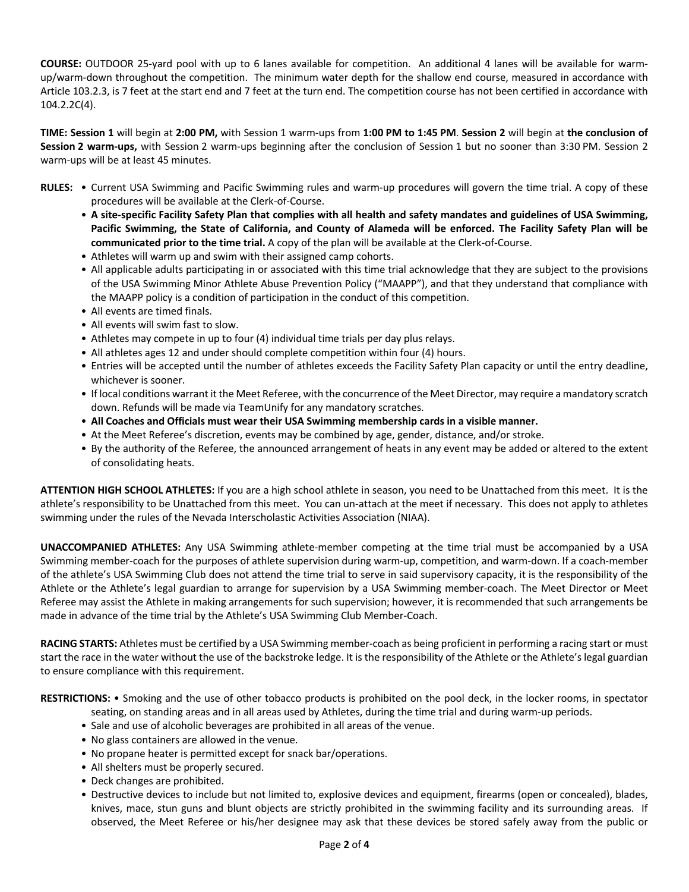**COURSE:** OUTDOOR 25-yard pool with up to 6 lanes available for competition. An additional 4 lanes will be available for warmup/warm-down throughout the competition. The minimum water depth for the shallow end course, measured in accordance with Article 103.2.3, is 7 feet at the start end and 7 feet at the turn end. The competition course has not been certified in accordance with 104.2.2C(4).

**TIME: Session 1** will begin at **2:00 PM,** with Session 1 warm-ups from **1:00 PM to 1:45 PM**. **Session 2** will begin at **the conclusion of Session 2 warm-ups,** with Session 2 warm-ups beginning after the conclusion of Session 1 but no sooner than 3:30 PM. Session 2 warm-ups will be at least 45 minutes.

- **RULES:** Current USA Swimming and Pacific Swimming rules and warm-up procedures will govern the time trial. A copy of these procedures will be available at the Clerk-of-Course.
	- **A site-specific Facility Safety Plan that complies with all health and safety mandates and guidelines of USA Swimming, Pacific Swimming, the State of California, and County of Alameda will be enforced. The Facility Safety Plan will be communicated prior to the time trial.** A copy of the plan will be available at the Clerk-of-Course.
	- Athletes will warm up and swim with their assigned camp cohorts.
	- All applicable adults participating in or associated with this time trial acknowledge that they are subject to the provisions of the USA Swimming Minor Athlete Abuse Prevention Policy ("MAAPP"), and that they understand that compliance with the MAAPP policy is a condition of participation in the conduct of this competition.
	- All events are timed finals.
	- All events will swim fast to slow.
	- Athletes may compete in up to four (4) individual time trials per day plus relays.
	- All athletes ages 12 and under should complete competition within four (4) hours.
	- Entries will be accepted until the number of athletes exceeds the Facility Safety Plan capacity or until the entry deadline, whichever is sooner.
	- If local conditions warrant it the Meet Referee, with the concurrence of the Meet Director, may require a mandatory scratch down. Refunds will be made via TeamUnify for any mandatory scratches.
	- **All Coaches and Officials must wear their USA Swimming membership cards in a visible manner.**
	- At the Meet Referee's discretion, events may be combined by age, gender, distance, and/or stroke.
	- By the authority of the Referee, the announced arrangement of heats in any event may be added or altered to the extent of consolidating heats.

**ATTENTION HIGH SCHOOL ATHLETES:** If you are a high school athlete in season, you need to be Unattached from this meet. It is the athlete's responsibility to be Unattached from this meet. You can un-attach at the meet if necessary. This does not apply to athletes swimming under the rules of the Nevada Interscholastic Activities Association (NIAA).

**UNACCOMPANIED ATHLETES:** Any USA Swimming athlete-member competing at the time trial must be accompanied by a USA Swimming member-coach for the purposes of athlete supervision during warm-up, competition, and warm-down. If a coach-member of the athlete's USA Swimming Club does not attend the time trial to serve in said supervisory capacity, it is the responsibility of the Athlete or the Athlete's legal guardian to arrange for supervision by a USA Swimming member-coach. The Meet Director or Meet Referee may assist the Athlete in making arrangements for such supervision; however, it is recommended that such arrangements be made in advance of the time trial by the Athlete's USA Swimming Club Member-Coach.

**RACING STARTS:** Athletes must be certified by a USA Swimming member-coach as being proficient in performing a racing start or must start the race in the water without the use of the backstroke ledge. It is the responsibility of the Athlete or the Athlete's legal guardian to ensure compliance with this requirement.

**RESTRICTIONS:** • Smoking and the use of other tobacco products is prohibited on the pool deck, in the locker rooms, in spectator seating, on standing areas and in all areas used by Athletes, during the time trial and during warm-up periods.

- Sale and use of alcoholic beverages are prohibited in all areas of the venue.
- No glass containers are allowed in the venue.
- No propane heater is permitted except for snack bar/operations.
- All shelters must be properly secured.
- Deck changes are prohibited.
- Destructive devices to include but not limited to, explosive devices and equipment, firearms (open or concealed), blades, knives, mace, stun guns and blunt objects are strictly prohibited in the swimming facility and its surrounding areas. If observed, the Meet Referee or his/her designee may ask that these devices be stored safely away from the public or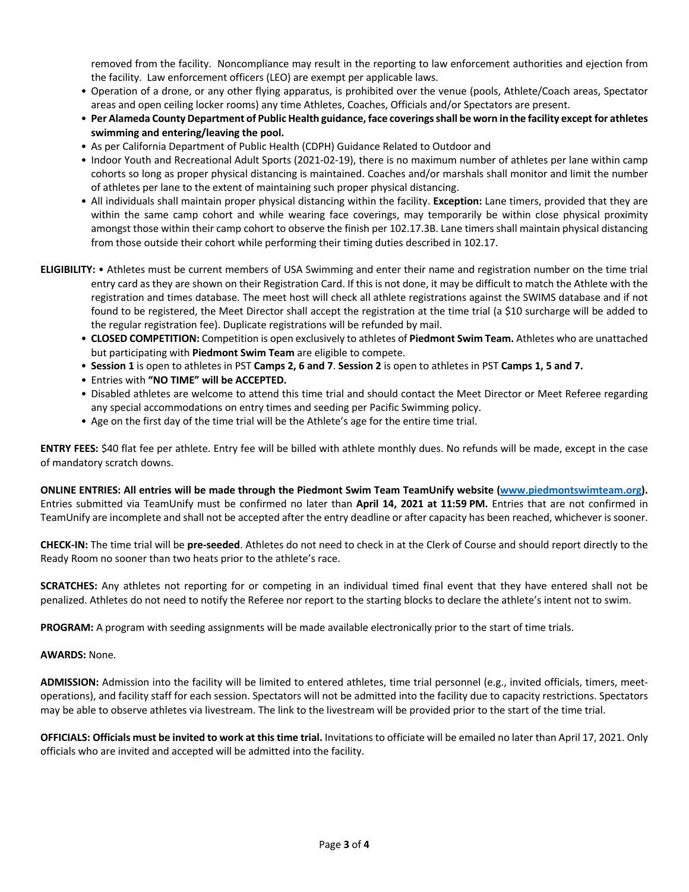removed from the facility. Noncompliance may result in the reporting to law enforcement authorities and ejection from the facility. Law enforcement officers (LEO) are exempt per applicable laws.

- Operation of a drone, or any other flying apparatus, is prohibited over the venue (pools, Athlete/Coach areas, Spectator areas and open ceiling locker rooms) any time Athletes, Coaches, Officials and/or Spectators are present.
- **Per Alameda County Department of Public Health guidance, face coverings shall be worn in the facility except for athletes swimming and entering/leaving the pool.**
- As per California Department of Public Health (CDPH) Guidance Related to Outdoor and
- Indoor Youth and Recreational Adult Sports (2021-02-19), there is no maximum number of athletes per lane within camp cohorts so long as proper physical distancing is maintained. Coaches and/or marshals shall monitor and limit the number of athletes per lane to the extent of maintaining such proper physical distancing.
- All individuals shall maintain proper physical distancing within the facility. **Exception:** Lane timers, provided that they are within the same camp cohort and while wearing face coverings, may temporarily be within close physical proximity amongst those within their camp cohort to observe the finish per 102.17.3B. Lane timers shall maintain physical distancing from those outside their cohort while performing their timing duties described in 102.17.
- **ELIGIBILITY:** Athletes must be current members of USA Swimming and enter their name and registration number on the time trial entry card as they are shown on their Registration Card. If this is not done, it may be difficult to match the Athlete with the registration and times database. The meet host will check all athlete registrations against the SWIMS database and if not found to be registered, the Meet Director shall accept the registration at the time trial (a \$10 surcharge will be added to the regular registration fee). Duplicate registrations will be refunded by mail.
	- **CLOSED COMPETITION:** Competition is open exclusively to athletes of **Piedmont Swim Team.** Athletes who are unattached but participating with **Piedmont Swim Team** are eligible to compete.
	- **Session 1** is open to athletes in PST **Camps 2, 6 and 7**. **Session 2** is open to athletes in PST **Camps 1, 5 and 7.**
	- Entries with **"NO TIME" will be ACCEPTED.**
	- Disabled athletes are welcome to attend this time trial and should contact the Meet Director or Meet Referee regarding any special accommodations on entry times and seeding per Pacific Swimming policy.
	- Age on the first day of the time trial will be the Athlete's age for the entire time trial.

**ENTRY FEES:** \$40 flat fee per athlete. Entry fee will be billed with athlete monthly dues. No refunds will be made, except in the case of mandatory scratch downs.

**ONLINE ENTRIES: All entries will be made through the Piedmont Swim Team TeamUnify website (www.piedmontswimteam.org).**  Entries submitted via TeamUnify must be confirmed no later than **April 14, 2021 at 11:59 PM.** Entries that are not confirmed in TeamUnify are incomplete and shall not be accepted after the entry deadline or after capacity has been reached, whichever is sooner.

**CHECK-IN:** The time trial will be **pre-seeded**. Athletes do not need to check in at the Clerk of Course and should report directly to the Ready Room no sooner than two heats prior to the athlete's race.

**SCRATCHES:** Any athletes not reporting for or competing in an individual timed final event that they have entered shall not be penalized. Athletes do not need to notify the Referee nor report to the starting blocks to declare the athlete's intent not to swim.

**PROGRAM:** A program with seeding assignments will be made available electronically prior to the start of time trials.

#### **AWARDS:** None.

**ADMISSION:** Admission into the facility will be limited to entered athletes, time trial personnel (e.g., invited officials, timers, meetoperations), and facility staff for each session. Spectators will not be admitted into the facility due to capacity restrictions. Spectators may be able to observe athletes via livestream. The link to the livestream will be provided prior to the start of the time trial.

**OFFICIALS: Officials must be invited to work at this time trial.** Invitations to officiate will be emailed no later than April 17, 2021. Only officials who are invited and accepted will be admitted into the facility.